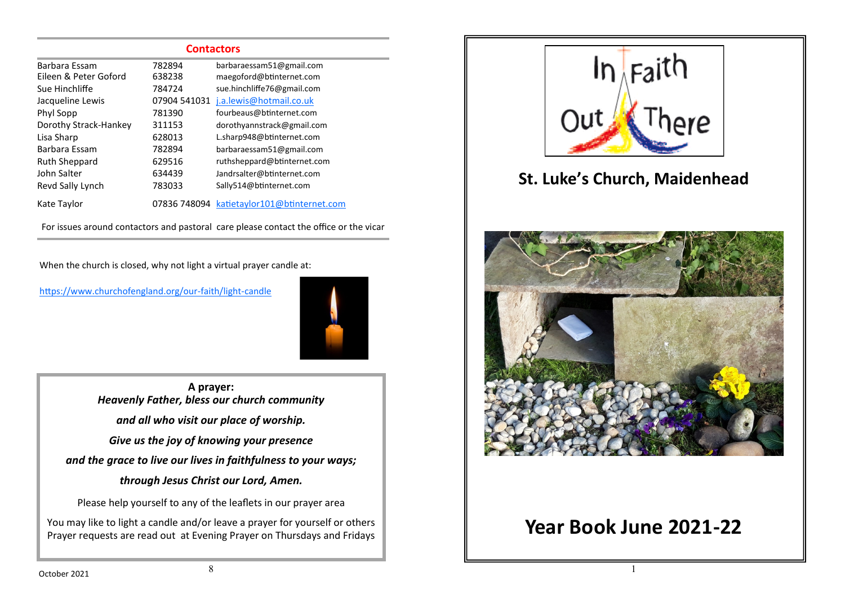| <b>Contactors</b>     |              |                               |  |  |
|-----------------------|--------------|-------------------------------|--|--|
| Barbara Essam         | 782894       | barbaraessam51@gmail.com      |  |  |
| Eileen & Peter Goford | 638238       | maegoford@btinternet.com      |  |  |
| Sue Hinchliffe        | 784724       | sue.hinchliffe76@gmail.com    |  |  |
| Jacqueline Lewis      | 07904 541031 | j.a.lewis@hotmail.co.uk       |  |  |
| Phyl Sopp             | 781390       | fourbeaus@btinternet.com      |  |  |
| Dorothy Strack-Hankey | 311153       | dorothyannstrack@gmail.com    |  |  |
| Lisa Sharp            | 628013       | L.sharp948@btinternet.com     |  |  |
| Barbara Essam         | 782894       | barbaraessam51@gmail.com      |  |  |
| <b>Ruth Sheppard</b>  | 629516       | ruthsheppard@btinternet.com   |  |  |
| John Salter           | 634439       | Jandrsalter@btinternet.com    |  |  |
| Revd Sally Lynch      | 783033       | Sally514@btinternet.com       |  |  |
| Kate Taylor           | 07836 748094 | katietaylor101@btinternet.com |  |  |

For issues around contactors and pastoral care please contact the office or the vicar

When the church is closed, why not light a virtual prayer candle at:

[https://www.churchofengland.org/our](https://www.churchofengland.org/our-faith/light-candle)-faith/light-candle



**A prayer:**  *Heavenly Father, bless our church community and all who visit our place of worship. Give us the joy of knowing your presence and the grace to live our lives in faithfulness to your ways; through Jesus Christ our Lord, Amen.*

Please help yourself to any of the leaflets in our prayer area

You may like to light a candle and/or leave a prayer for yourself or others Prayer requests are read out at Evening Prayer on Thursdays and Fridays



# **Year Book June 2021-22**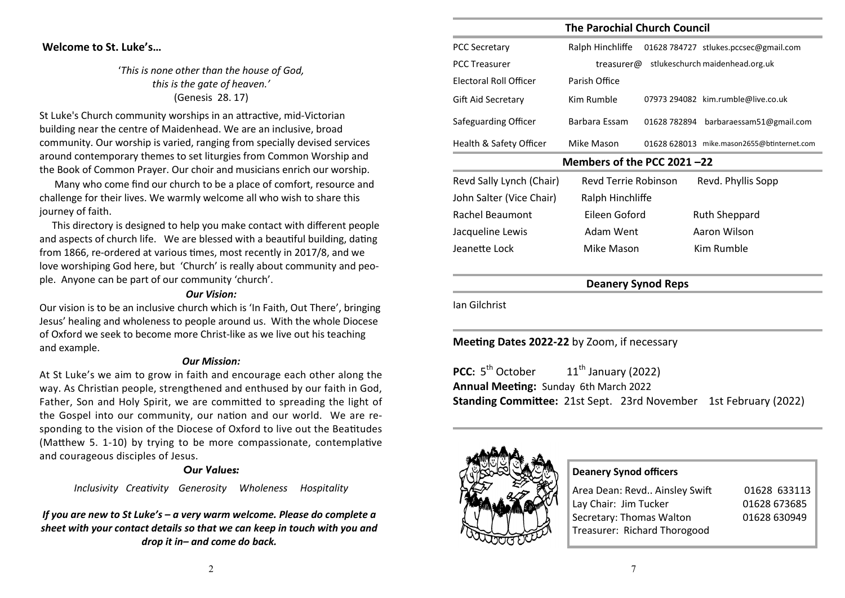### **Welcome to St. Luke's…**

'*This is none other than the house of God, this is the gate of heaven.'* (Genesis 28. 17)

St Luke's Church community worships in an attractive, mid-Victorian building near the centre of Maidenhead. We are an inclusive, broad community. Our worship is varied, ranging from specially devised services around contemporary themes to set liturgies from Common Worship and the Book of Common Prayer. Our choir and musicians enrich our worship.

 Many who come find our church to be a place of comfort, resource and challenge for their lives. We warmly welcome all who wish to share this journey of faith.

 This directory is designed to help you make contact with different people and aspects of church life. We are blessed with a beautiful building, dating from 1866, re-ordered at various times, most recently in 2017/8, and we love worshiping God here, but 'Church' is really about community and people. Anyone can be part of our community 'church'.

### *Our Vision:*

Our vision is to be an inclusive church which is 'In Faith, Out There', bringing Jesus' healing and wholeness to people around us. With the whole Diocese of Oxford we seek to become more Christ-like as we live out his teaching and example.

#### *Our Mission:*

At St Luke's we aim to grow in faith and encourage each other along the way. As Christian people, strengthened and enthused by our faith in God, Father, Son and Holy Spirit, we are committed to spreading the light of the Gospel into our community, our nation and our world. We are responding to the vision of the Diocese of Oxford to live out the Beatitudes (Matthew 5. 1-10) by trying to be more compassionate, contemplative and courageous disciples of Jesus.

### *Our Values:*

*Inclusivity Creativity Generosity Wholeness Hospitality* 

*If you are new to St Luke's – a very warm welcome. Please do complete a sheet with your contact details so that we can keep in touch with you and drop it in– and come do back.* 

| <b>The Parochial Church Council</b> |                      |                                            |                          |  |
|-------------------------------------|----------------------|--------------------------------------------|--------------------------|--|
| <b>PCC Secretary</b>                | Ralph Hinchliffe     | 01628 784727 stlukes.pccsec@gmail.com      |                          |  |
| <b>PCC Treasurer</b>                | treasurer@           | stlukeschurch maidenhead.org.uk            |                          |  |
| Electoral Roll Officer              | Parish Office        |                                            |                          |  |
| Gift Aid Secretary                  | Kim Rumble           | 07973 294082 kim.rumble@live.co.uk         |                          |  |
| Safeguarding Officer                | Barbara Essam        | 01628 782894                               | barbaraessam51@gmail.com |  |
| Health & Safety Officer             | Mike Mason           | 01628 628013 mike.mason2655@btinternet.com |                          |  |
| Members of the PCC 2021 $-22$       |                      |                                            |                          |  |
| Revd Sally Lynch (Chair)            | Revd Terrie Robinson | Revd. Phyllis Sopp                         |                          |  |
| John Salter (Vice Chair)            | Ralph Hinchliffe     |                                            |                          |  |
| Rachel Beaumont                     | Eileen Goford        | Ruth Sheppard                              |                          |  |
| Jacqueline Lewis                    | Adam Went            | Aaron Wilson                               |                          |  |
| Jeanette Lock                       | Mike Mason           | Kim Rumble                                 |                          |  |
|                                     |                      |                                            |                          |  |

## **Deanery Synod Reps**

Ian Gilchrist

### **Meeting Dates 2022-22** by Zoom, if necessary

**PCC:**  $5^{th}$  October  $11<sup>th</sup>$  January (2022) **Annual Meeting:** Sunday 6th March 2022 **Standing Committee:** 21st Sept. 23rd November 1st February (2022)



### **Deanery Synod officers**

| Area Dean: Revd Ainsley Swift | 01628 633113 |
|-------------------------------|--------------|
| Lay Chair: Jim Tucker         | 01628 673685 |
| Secretary: Thomas Walton      | 01628 630949 |
| Treasurer: Richard Thorogood  |              |
|                               |              |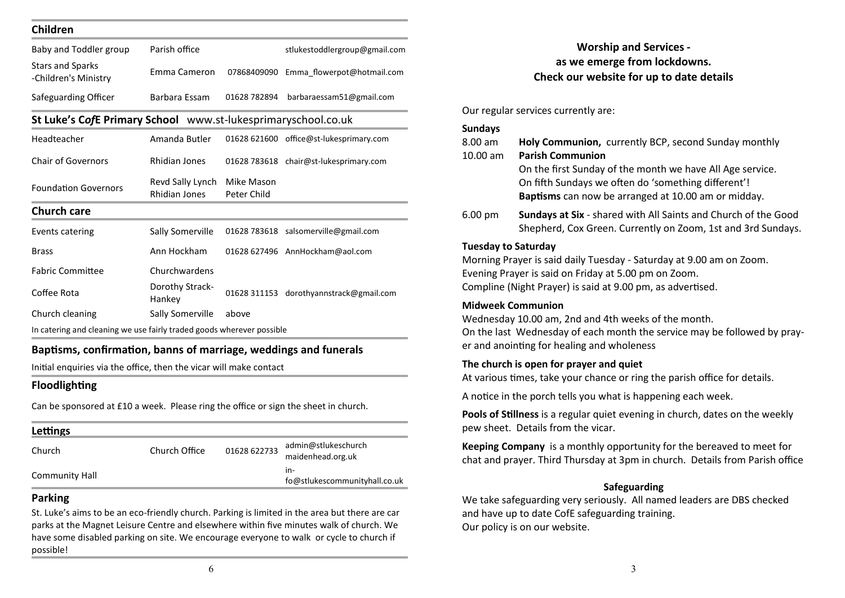| Baby and Toddler group                                                | Parish office                     |                           | stlukestoddlergroup@gmail.com           |
|-----------------------------------------------------------------------|-----------------------------------|---------------------------|-----------------------------------------|
| <b>Stars and Sparks</b><br>-Children's Ministry                       | Emma Cameron                      | 07868409090               | Emma flowerpot@hotmail.com              |
| Safeguarding Officer                                                  | Barbara Essam                     | 01628 782894              | barbaraessam51@gmail.com                |
| St Luke's CofE Primary School www.st-lukesprimaryschool.co.uk         |                                   |                           |                                         |
| Headteacher                                                           | Amanda Butler                     |                           | 01628 621600 office@st-lukesprimary.com |
| <b>Chair of Governors</b>                                             | <b>Rhidian Jones</b>              |                           | 01628 783618 chair@st-lukesprimary.com  |
| <b>Foundation Governors</b>                                           | Revd Sally Lynch<br>Rhidian Jones | Mike Mason<br>Peter Child |                                         |
| <b>Church care</b>                                                    |                                   |                           |                                         |
| Events catering                                                       | Sally Somerville                  |                           | 01628 783618 salsomerville@gmail.com    |
| <b>Brass</b>                                                          | Ann Hockham                       |                           | 01628 627496 AnnHockham@aol.com         |
| <b>Fabric Committee</b>                                               | Churchwardens                     |                           |                                         |
| Coffee Rota                                                           | Dorothy Strack-<br>Hankey         | 01628 311153              | dorothyannstrack@gmail.com              |
| Church cleaning                                                       | Sally Somerville                  | above                     |                                         |
| In catering and cleaning we use fairly traded goods wherever possible |                                   |                           |                                         |

Initial enquiries via the office, then the vicar will make contact

# **Floodlighting**

Can be sponsored at £10 a week. Please ring the office or sign the sheet in church.

| Lettings       |               |              |                                          |
|----------------|---------------|--------------|------------------------------------------|
| Church         | Church Office | 01628 622733 | admin@stlukeschurch<br>maidenhead.org.uk |
| Community Hall |               |              | in-<br>fo@stlukescommunityhall.co.uk     |

# **Parking**

St. Luke's aims to be an eco-friendly church. Parking is limited in the area but there are car parks at the Magnet Leisure Centre and elsewhere within five minutes walk of church. We have some disabled parking on site. We encourage everyone to walk or cycle to church if possible!

# **Worship and Services as we emerge from lockdowns. Check our website for up to date details**

Our regular services currently are:

| <b>Sundays</b><br>8.00 am<br>10.00 am | Holy Communion, currently BCP, second Sunday monthly<br><b>Parish Communion</b>                                                                                                           |
|---------------------------------------|-------------------------------------------------------------------------------------------------------------------------------------------------------------------------------------------|
|                                       | On the first Sunday of the month we have All Age service.<br>On fifth Sundays we often do 'something different'!<br>Baptisms can now be arranged at 10.00 am or midday.                   |
| 6.00 pm                               | Sundays at Six - shared with All Saints and Church of the Good<br>Shepherd, Cox Green. Currently on Zoom, 1st and 3rd Sundays.                                                            |
| <b>Tuesday to Saturday</b>            | Morning Prayer is said daily Tuesday - Saturday at 9.00 am on Zoom.<br>Evening Prayer is said on Friday at 5.00 pm on Zoom.<br>Compline (Night Prayer) is said at 9.00 pm, as advertised. |
| <b>Midweek Communion</b>              | Wednesday 10.00 am, 2nd and 4th weeks of the month.<br>On the last Wednesday of each month the service may be followed by pray-<br>er and anointing for healing and wholeness             |
|                                       | The church is open for prayer and quiet<br>At various times, take your chance or ring the parish office for details.                                                                      |
|                                       | A notice in the porch tells you what is happening each week.                                                                                                                              |
|                                       | Pools of Stillness is a regular quiet evening in church, dates on the weekly<br>pew sheet. Details from the vicar.                                                                        |
|                                       | Keeping Company is a monthly opportunity for the bereaved to meet for<br>chat and prayer. Third Thursday at 3pm in church. Details from Parish office                                     |
|                                       | Safeguarding<br>We take safeguarding very seriously. All named leaders are DBS checked<br>and have up to date CofE safeguarding training.<br>Our policy is on our website.                |